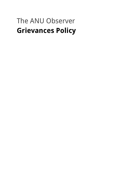# The ANU Observer **Grievances Policy**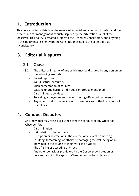# **1. Introduction**

This policy contains details of the nature of editorial and conduct disputes, and the procedures for management of such disputes by the Arbitration Panel of the Observer. This policy is created subject to the Observer Constitution, and anything in this policy inconsistent with the Constitution is null to the extent of that inconsistency.

## **3. Editorial Disputes**

#### 3.1. Cause

- 3.2. The editorial integrity of any article may be disputed by any person on the following grounds:
	- Biased reporting
	- Wilful factual inaccuracy
	- Misrepresentation of sources
	- Causing undue harm to individuals or groups mentioned
	- Discriminatory conduct
	- Revealing anonymous sources or printing off-record comments
	- Any other conduct not in line with these policies or the Press Council Guidelines.

# **4. Conduct Disputes**

Any individual may raise a grievance over the conduct of any Officer of Observer for:

- Discrimination
- Intimidation or harassment
- Disruption or distraction in the context of an event or meeting
- Insulting, threatening, or otherwise damaging the well-being of an individual in the course of their work as an Officer
- The offering or accepting of bribes
- Any other behaviour prohibited by the Observer constitution or policies, or not in the spirit of Observer and of basic decency.